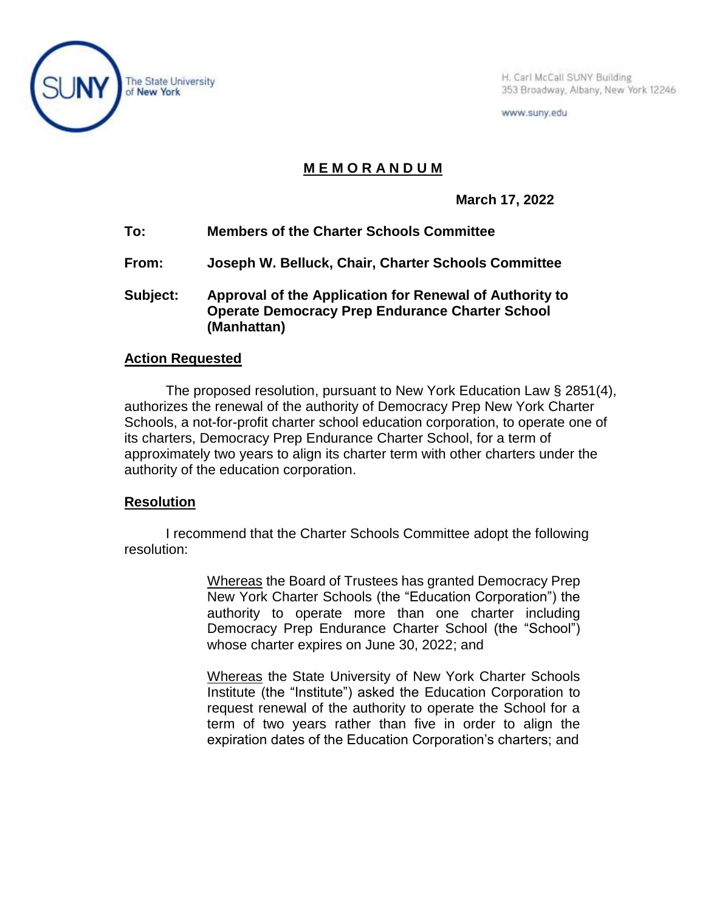

H. Carl McCall SUNY Building 353 Broadway, Albany, New York 12246

www.suny.edu

## **M E M O R A N D U M**

**March 17, 2022**

- **To: Members of the Charter Schools Committee**
- **From: Joseph W. Belluck, Chair, Charter Schools Committee**
- **Subject: Approval of the Application for Renewal of Authority to Operate Democracy Prep Endurance Charter School (Manhattan)**

## **Action Requested**

The proposed resolution, pursuant to New York Education Law § 2851(4), authorizes the renewal of the authority of Democracy Prep New York Charter Schools, a not-for-profit charter school education corporation, to operate one of its charters, Democracy Prep Endurance Charter School, for a term of approximately two years to align its charter term with other charters under the authority of the education corporation.

## **Resolution**

I recommend that the Charter Schools Committee adopt the following resolution:

> Whereas the Board of Trustees has granted Democracy Prep New York Charter Schools (the "Education Corporation") the authority to operate more than one charter including Democracy Prep Endurance Charter School (the "School") whose charter expires on June 30, 2022; and

> Whereas the State University of New York Charter Schools Institute (the "Institute") asked the Education Corporation to request renewal of the authority to operate the School for a term of two years rather than five in order to align the expiration dates of the Education Corporation's charters; and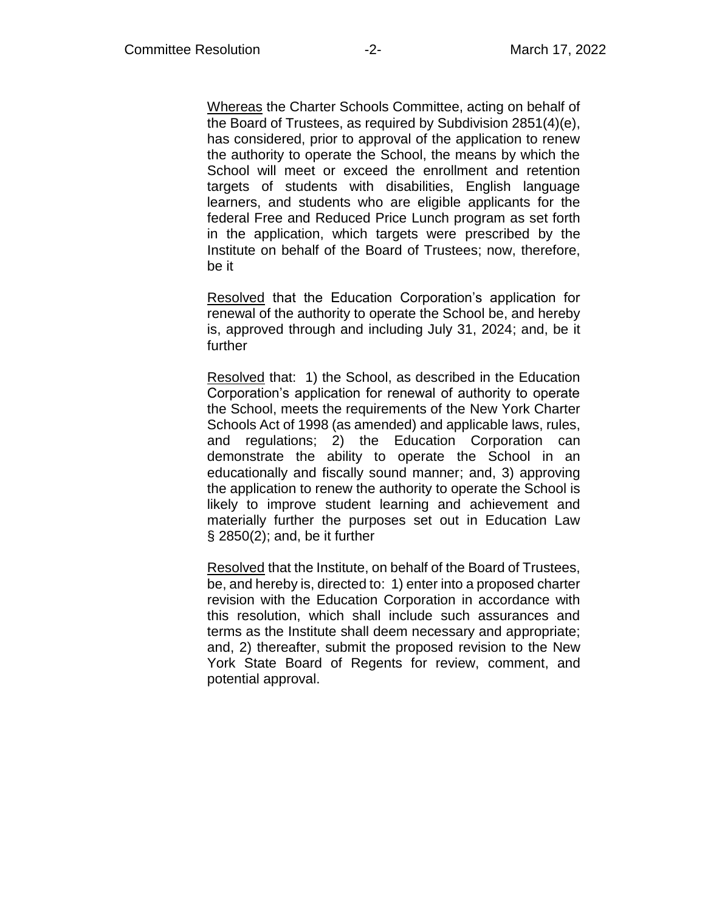Whereas the Charter Schools Committee, acting on behalf of the Board of Trustees, as required by Subdivision 2851(4)(e), has considered, prior to approval of the application to renew the authority to operate the School, the means by which the School will meet or exceed the enrollment and retention targets of students with disabilities, English language learners, and students who are eligible applicants for the federal Free and Reduced Price Lunch program as set forth in the application, which targets were prescribed by the Institute on behalf of the Board of Trustees; now, therefore, be it

Resolved that the Education Corporation's application for renewal of the authority to operate the School be, and hereby is, approved through and including July 31, 2024; and, be it further

Resolved that: 1) the School, as described in the Education Corporation's application for renewal of authority to operate the School, meets the requirements of the New York Charter Schools Act of 1998 (as amended) and applicable laws, rules, and regulations; 2) the Education Corporation can demonstrate the ability to operate the School in an educationally and fiscally sound manner; and, 3) approving the application to renew the authority to operate the School is likely to improve student learning and achievement and materially further the purposes set out in Education Law § 2850(2); and, be it further

Resolved that the Institute, on behalf of the Board of Trustees, be, and hereby is, directed to: 1) enter into a proposed charter revision with the Education Corporation in accordance with this resolution, which shall include such assurances and terms as the Institute shall deem necessary and appropriate; and, 2) thereafter, submit the proposed revision to the New York State Board of Regents for review, comment, and potential approval.